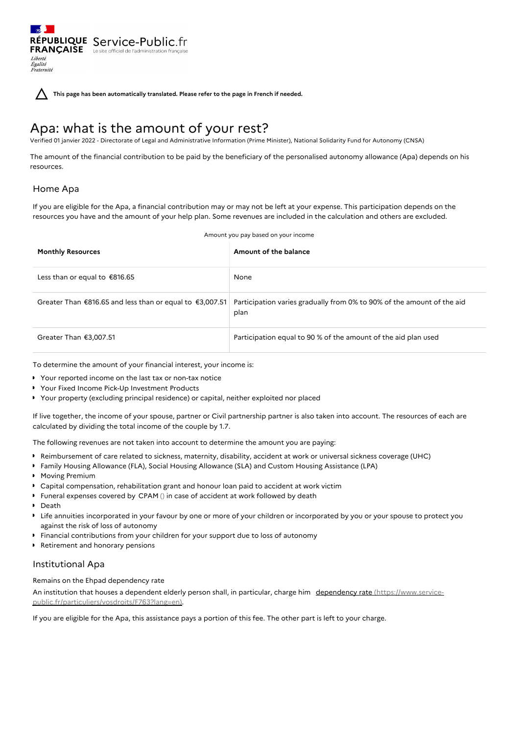**This page has been automatically translated. Please refer to the page in French if needed.**

# Apa: what is the amount of your rest?

Verified 01 janvier 2022 - Directorate of Legal and Administrative Information (Prime Minister), National Solidarity Fund for Autonomy (CNSA)

The amount of the financial contribution to be paid by the beneficiary of the personalised autonomy allowance (Apa) depends on his resources.

## Home Apa

If you are eligible for the Apa, a financial contribution may or may not be left at your expense. This participation depends on the resources you have and the amount of your help plan. Some revenues are included in the calculation and others are excluded.

| <b>Monthly Resources</b>                                 | Amount of the balance                                                          |
|----------------------------------------------------------|--------------------------------------------------------------------------------|
| Less than or equal to €816.65                            | None                                                                           |
| Greater Than €816.65 and less than or equal to €3,007.51 | Participation varies gradually from 0% to 90% of the amount of the aid<br>plan |
| Greater Than $£3,007.51$                                 | Participation equal to 90 % of the amount of the aid plan used                 |

To determine the amount of your financial interest, your income is:

Your reported income on the last tax or non-tax notice

- Your Fixed Income Pick-Up Investment Products
- Your property (excluding principal residence) or capital, neither exploited nor placed

If live together, the income of your spouse, partner or Civil partnership partner is also taken into account. The resources of each are calculated by dividing the total income of the couple by 1.7.

The following revenues are not taken into account to determine the amount you are paying:

- Reimbursement of care related to sickness, maternity, disability, accident at work or universal sickness coverage (UHC)
- Family Housing Allowance (FLA), Social Housing Allowance (SLA) and Custom Housing Assistance (LPA)
- **Moving Premium**
- Capital compensation, rehabilitation grant and honour loan paid to accident at work victim
- Funeral expenses covered by CPAM () in case of accident at work followed by death
- Death
- Life annuities incorporated in your favour by one or more of your children or incorporated by you or your spouse to protect you against the risk of loss of autonomy
- Financial contributions from your children for your support due to loss of autonomy
- Retirement and honorary pensions

## Institutional Apa

### Remains on the Ehpad dependency rate

An institution that houses a dependent elderly person shall, in particular, charge him dependency rate (https://www.service[public.fr/particuliers/vosdroits/F763?lang=en\).](https://www.service-public.fr/particuliers/vosdroits/F763?lang=en)

If you are eligible for the Apa, this assistance pays a portion of this fee. The other part is left to your charge.

Amount you pay based on your income

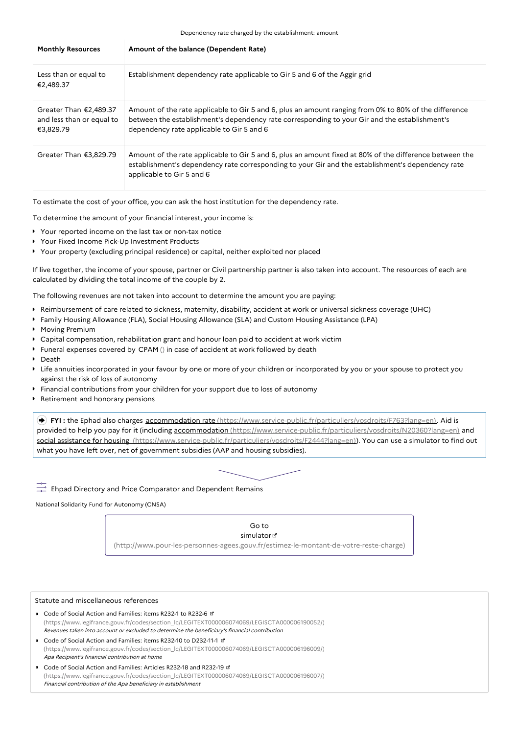Dependency rate charged by the establishment: amount

| <b>Monthly Resources</b>                                           | Amount of the balance (Dependent Rate)                                                                                                                                                                                                              |
|--------------------------------------------------------------------|-----------------------------------------------------------------------------------------------------------------------------------------------------------------------------------------------------------------------------------------------------|
| Less than or equal to<br>€2,489.37                                 | Establishment dependency rate applicable to Gir 5 and 6 of the Aggir grid                                                                                                                                                                           |
| Greater Than $£2,489.37$<br>and less than or equal to<br>€3,829.79 | Amount of the rate applicable to Gir 5 and 6, plus an amount ranging from 0% to 80% of the difference<br>between the establishment's dependency rate corresponding to your Gir and the establishment's<br>dependency rate applicable to Gir 5 and 6 |
| Greater Than €3,829.79                                             | Amount of the rate applicable to Gir 5 and 6, plus an amount fixed at 80% of the difference between the<br>establishment's dependency rate corresponding to your Gir and the establishment's dependency rate<br>applicable to Gir 5 and 6           |

To estimate the cost of your office, you can ask the host institution for the dependency rate.

To determine the amount of your financial interest, your income is:

- Your reported income on the last tax or non-tax notice
- Your Fixed Income Pick-Up Investment Products
- Your property (excluding principal residence) or capital, neither exploited nor placed

If live together, the income of your spouse, partner or Civil partnership partner is also taken into account. The resources of each are calculated by dividing the total income of the couple by 2.

The following revenues are not taken into account to determine the amount you are paying:

- Reimbursement of care related to sickness, maternity, disability, accident at work or universal sickness coverage (UHC)
- Family Housing Allowance (FLA), Social Housing Allowance (SLA) and Custom Housing Assistance (LPA)
- **Moving Premium**
- Capital compensation, rehabilitation grant and honour loan paid to accident at work victim
- Funeral expenses covered by CPAM () in case of accident at work followed by death
- Death
- Life annuities incorporated in your favour by one or more of your children or incorporated by you or your spouse to protect you against the risk of loss of autonomy
- Financial contributions from your children for your support due to loss of autonomy
- ▶ Retirement and honorary pensions

 **FYI :** the Ephad also charges accommodation rate [\(https://www.service-public.fr/particuliers/vosdroits/F763?lang=en\)](https://www.service-public.fr/particuliers/vosdroits/F763?lang=en). Aid is provided to help you pay for it (including accommodation [\(https://www.service-public.fr/particuliers/vosdroits/N20360?lang=en\)](https://www.service-public.fr/particuliers/vosdroits/N20360?lang=en) and social assistance for housing [\(https://www.service-public.fr/particuliers/vosdroits/F2444?lang=en\)](https://www.service-public.fr/particuliers/vosdroits/F2444?lang=en)). You can use a simulator to find out what you have left over, net of government subsidies (AAP and housing subsidies).

 $\overline{L^2}$  Ehpad Directory and Price Comparator and Dependent Remains

National Solidarity Fund for Autonomy (CNSA)

#### Go to simulator<sup>d</sup>

[\(http://www.pour-les-personnes-agees.gouv.fr/estimez-le-montant-de-votre-reste-charge\)](http://www.pour-les-personnes-agees.gouv.fr/estimez-le-montant-de-votre-reste-charge)

#### Statute and miscellaneous references

- Code of Social Action and Families: items R232-1 to R232-6 [\(https://www.legifrance.gouv.fr/codes/section\\_lc/LEGITEXT000006074069/LEGISCTA000006190052/\)](https://www.legifrance.gouv.fr/codes/section_lc/LEGITEXT000006074069/LEGISCTA000006190052/) Revenues taken into account or excluded to determine the beneficiary's financial contribution
- Code of Social Action and Families: items R232-10 to D232-11-1 [\(https://www.legifrance.gouv.fr/codes/section\\_lc/LEGITEXT000006074069/LEGISCTA000006196009/\)](https://www.legifrance.gouv.fr/codes/section_lc/LEGITEXT000006074069/LEGISCTA000006196009/) Apa Recipient's financial contribution at home
- Code of Social Action and Families: Articles R232-18 and R232-19 [\(https://www.legifrance.gouv.fr/codes/section\\_lc/LEGITEXT000006074069/LEGISCTA000006196007/\)](https://www.legifrance.gouv.fr/codes/section_lc/LEGITEXT000006074069/LEGISCTA000006196007/) Financial contribution of the Apa beneficiary in establishment